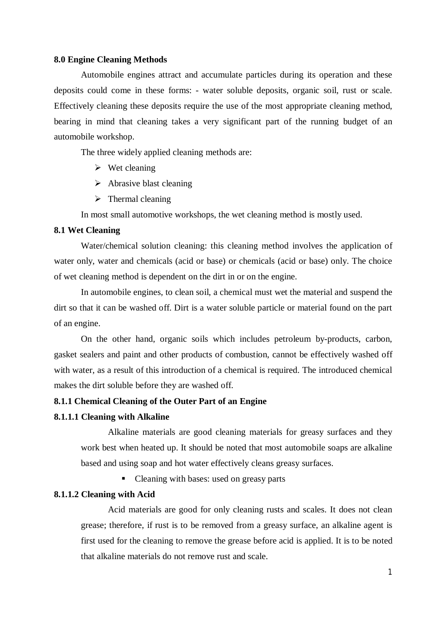#### **8.0 Engine Cleaning Methods**

Automobile engines attract and accumulate particles during its operation and these deposits could come in these forms: - water soluble deposits, organic soil, rust or scale. Effectively cleaning these deposits require the use of the most appropriate cleaning method, bearing in mind that cleaning takes a very significant part of the running budget of an automobile workshop.

The three widely applied cleaning methods are:

- $\triangleright$  Wet cleaning
- $\triangleright$  Abrasive blast cleaning
- $\triangleright$  Thermal cleaning

In most small automotive workshops, the wet cleaning method is mostly used.

#### **8.1 Wet Cleaning**

Water/chemical solution cleaning: this cleaning method involves the application of water only, water and chemicals (acid or base) or chemicals (acid or base) only. The choice of wet cleaning method is dependent on the dirt in or on the engine.

In automobile engines, to clean soil, a chemical must wet the material and suspend the dirt so that it can be washed off. Dirt is a water soluble particle or material found on the part of an engine.

On the other hand, organic soils which includes petroleum by-products, carbon, gasket sealers and paint and other products of combustion, cannot be effectively washed off with water, as a result of this introduction of a chemical is required. The introduced chemical makes the dirt soluble before they are washed off.

#### **8.1.1 Chemical Cleaning of the Outer Part of an Engine**

#### **8.1.1.1 Cleaning with Alkaline**

Alkaline materials are good cleaning materials for greasy surfaces and they work best when heated up. It should be noted that most automobile soaps are alkaline based and using soap and hot water effectively cleans greasy surfaces.

• Cleaning with bases: used on greasy parts

#### **8.1.1.2 Cleaning with Acid**

Acid materials are good for only cleaning rusts and scales. It does not clean grease; therefore, if rust is to be removed from a greasy surface, an alkaline agent is first used for the cleaning to remove the grease before acid is applied. It is to be noted that alkaline materials do not remove rust and scale.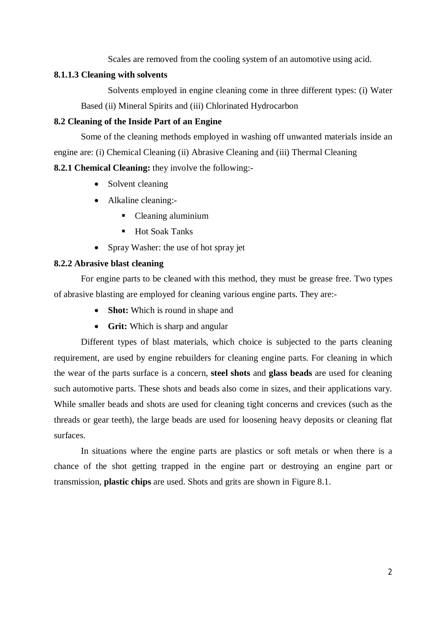Scales are removed from the cooling system of an automotive using acid.

#### **8.1.1.3 Cleaning with solvents**

Solvents employed in engine cleaning come in three different types: (i) Water Based (ii) Mineral Spirits and (iii) Chlorinated Hydrocarbon

## **8.2 Cleaning of the Inside Part of an Engine**

Some of the cleaning methods employed in washing off unwanted materials inside an engine are: (i) Chemical Cleaning (ii) Abrasive Cleaning and (iii) Thermal Cleaning

# **8.2.1 Chemical Cleaning:** they involve the following:-

- Solvent cleaning
- Alkaline cleaning:-
	- Cleaning aluminium
	- Hot Soak Tanks
- Spray Washer: the use of hot spray jet

### **8.2.2 Abrasive blast cleaning**

For engine parts to be cleaned with this method, they must be grease free. Two types of abrasive blasting are employed for cleaning various engine parts. They are:-

- **Shot:** Which is round in shape and
- **Grit:** Which is sharp and angular

Different types of blast materials, which choice is subjected to the parts cleaning requirement, are used by engine rebuilders for cleaning engine parts. For cleaning in which the wear of the parts surface is a concern, **steel shots** and **glass beads** are used for cleaning such automotive parts. These shots and beads also come in sizes, and their applications vary. While smaller beads and shots are used for cleaning tight concerns and crevices (such as the threads or gear teeth), the large beads are used for loosening heavy deposits or cleaning flat surfaces.

In situations where the engine parts are plastics or soft metals or when there is a chance of the shot getting trapped in the engine part or destroying an engine part or transmission, **plastic chips** are used. Shots and grits are shown in Figure 8.1.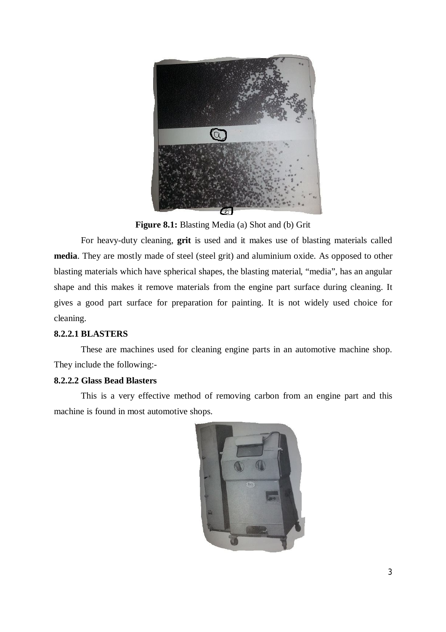

**Figure 8.1:** Blasting Media (a) Shot and (b) Grit

For heavy-duty cleaning, **grit** is used and it makes use of blasting materials called **media**. They are mostly made of steel (steel grit) and aluminium oxide. As opposed to other blasting materials which have spherical shapes, the blasting material, "media", has an angular shape and this makes it remove materials from the engine part surface during cleaning. It gives a good part surface for preparation for painting. It is not widely used choice for cleaning.

## **8.2.2.1 BLASTERS**

These are machines used for cleaning engine parts in an automotive machine shop. They include the following:-

## **8.2.2.2 Glass Bead Blasters**

This is a very effective method of removing carbon from an engine part and this machine is found in most automotive shops.

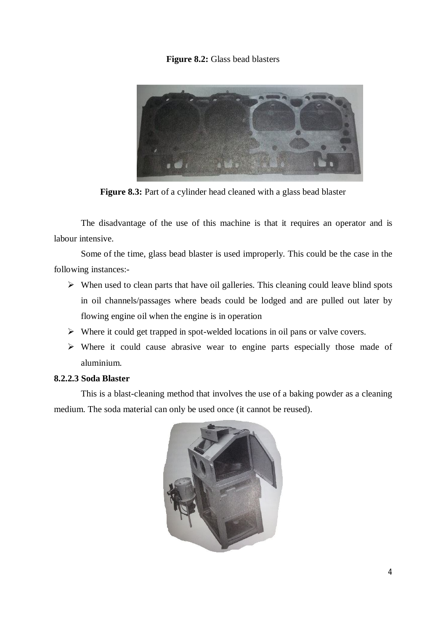## **Figure 8.2:** Glass bead blasters



**Figure 8.3:** Part of a cylinder head cleaned with a glass bead blaster

The disadvantage of the use of this machine is that it requires an operator and is labour intensive.

Some of the time, glass bead blaster is used improperly. This could be the case in the following instances:-

- $\triangleright$  When used to clean parts that have oil galleries. This cleaning could leave blind spots in oil channels/passages where beads could be lodged and are pulled out later by flowing engine oil when the engine is in operation
- $\triangleright$  Where it could get trapped in spot-welded locations in oil pans or valve covers.
- $\triangleright$  Where it could cause abrasive wear to engine parts especially those made of aluminium.

## **8.2.2.3 Soda Blaster**

This is a blast-cleaning method that involves the use of a baking powder as a cleaning medium. The soda material can only be used once (it cannot be reused).

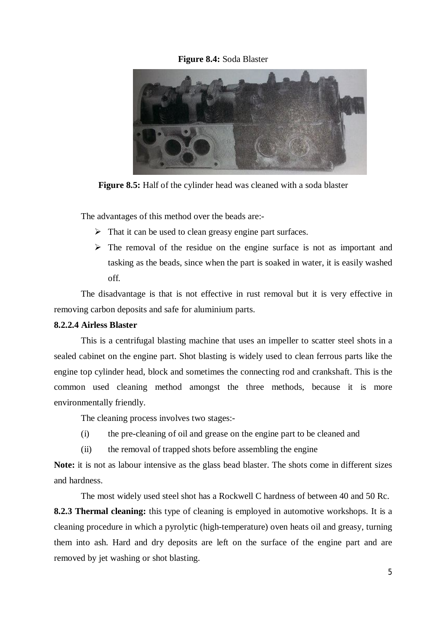### **Figure 8.4:** Soda Blaster



**Figure 8.5:** Half of the cylinder head was cleaned with a soda blaster

The advantages of this method over the beads are:-

- $\triangleright$  That it can be used to clean greasy engine part surfaces.
- $\triangleright$  The removal of the residue on the engine surface is not as important and tasking as the beads, since when the part is soaked in water, it is easily washed off.

The disadvantage is that is not effective in rust removal but it is very effective in removing carbon deposits and safe for aluminium parts.

### **8.2.2.4 Airless Blaster**

This is a centrifugal blasting machine that uses an impeller to scatter steel shots in a sealed cabinet on the engine part. Shot blasting is widely used to clean ferrous parts like the engine top cylinder head, block and sometimes the connecting rod and crankshaft. This is the common used cleaning method amongst the three methods, because it is more environmentally friendly.

The cleaning process involves two stages:-

- (i) the pre-cleaning of oil and grease on the engine part to be cleaned and
- (ii) the removal of trapped shots before assembling the engine

**Note:** it is not as labour intensive as the glass bead blaster. The shots come in different sizes and hardness.

The most widely used steel shot has a Rockwell C hardness of between 40 and 50 Rc.

**8.2.3 Thermal cleaning:** this type of cleaning is employed in automotive workshops. It is a cleaning procedure in which a pyrolytic (high-temperature) oven heats oil and greasy, turning them into ash. Hard and dry deposits are left on the surface of the engine part and are removed by jet washing or shot blasting.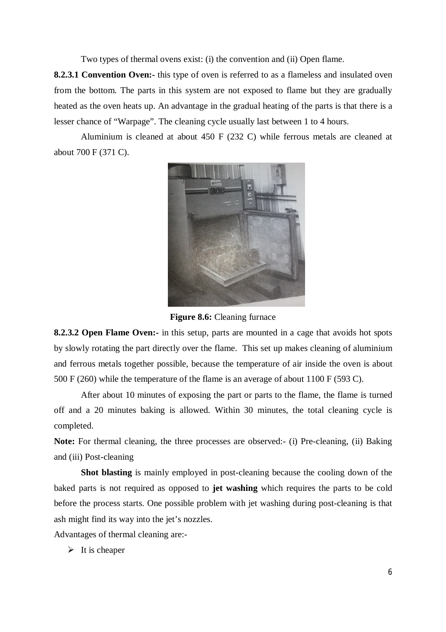Two types of thermal ovens exist: (i) the convention and (ii) Open flame.

**8.2.3.1 Convention Oven:**- this type of oven is referred to as a flameless and insulated oven from the bottom. The parts in this system are not exposed to flame but they are gradually heated as the oven heats up. An advantage in the gradual heating of the parts is that there is a lesser chance of "Warpage". The cleaning cycle usually last between 1 to 4 hours.

Aluminium is cleaned at about 450 F (232 C) while ferrous metals are cleaned at about 700 F (371 C).



**Figure 8.6:** Cleaning furnace

**8.2.3.2 Open Flame Oven:-** in this setup, parts are mounted in a cage that avoids hot spots by slowly rotating the part directly over the flame. This set up makes cleaning of aluminium and ferrous metals together possible, because the temperature of air inside the oven is about 500 F (260) while the temperature of the flame is an average of about 1100 F (593 C).

After about 10 minutes of exposing the part or parts to the flame, the flame is turned off and a 20 minutes baking is allowed. Within 30 minutes, the total cleaning cycle is completed.

**Note:** For thermal cleaning, the three processes are observed:- (i) Pre-cleaning, (ii) Baking and (iii) Post-cleaning

**Shot blasting** is mainly employed in post-cleaning because the cooling down of the baked parts is not required as opposed to **jet washing** which requires the parts to be cold before the process starts. One possible problem with jet washing during post-cleaning is that ash might find its way into the jet's nozzles.

Advantages of thermal cleaning are:-

 $\triangleright$  It is cheaper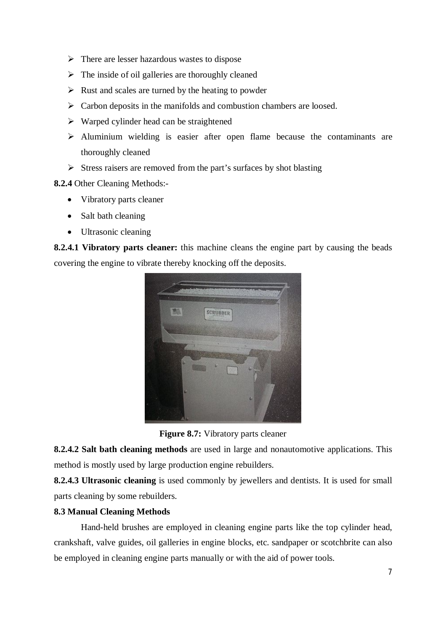- $\triangleright$  There are lesser hazardous wastes to dispose
- $\triangleright$  The inside of oil galleries are thoroughly cleaned
- $\triangleright$  Rust and scales are turned by the heating to powder
- $\triangleright$  Carbon deposits in the manifolds and combustion chambers are loosed.
- $\triangleright$  Warped cylinder head can be straightened
- $\triangleright$  Aluminium wielding is easier after open flame because the contaminants are thoroughly cleaned
- $\triangleright$  Stress raisers are removed from the part's surfaces by shot blasting

**8.2.4** Other Cleaning Methods:-

- Vibratory parts cleaner
- Salt bath cleaning
- Ultrasonic cleaning

**8.2.4.1 Vibratory parts cleaner:** this machine cleans the engine part by causing the beads covering the engine to vibrate thereby knocking off the deposits.



**Figure 8.7:** Vibratory parts cleaner

**8.2.4.2 Salt bath cleaning methods** are used in large and nonautomotive applications. This method is mostly used by large production engine rebuilders.

**8.2.4.3 Ultrasonic cleaning** is used commonly by jewellers and dentists. It is used for small parts cleaning by some rebuilders.

## **8.3 Manual Cleaning Methods**

Hand-held brushes are employed in cleaning engine parts like the top cylinder head, crankshaft, valve guides, oil galleries in engine blocks, etc. sandpaper or scotchbrite can also be employed in cleaning engine parts manually or with the aid of power tools.